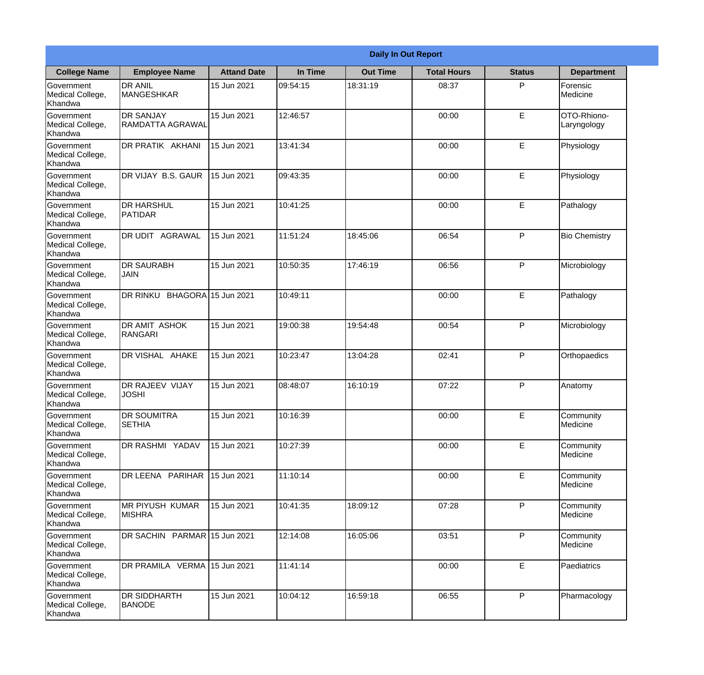|                                                  | <b>Daily In Out Report</b>                  |                    |          |                 |                    |               |                            |  |
|--------------------------------------------------|---------------------------------------------|--------------------|----------|-----------------|--------------------|---------------|----------------------------|--|
| <b>College Name</b>                              | <b>Employee Name</b>                        | <b>Attand Date</b> | In Time  | <b>Out Time</b> | <b>Total Hours</b> | <b>Status</b> | <b>Department</b>          |  |
| Government<br>Medical College,<br>Khandwa        | <b>DR ANIL</b><br><b>MANGESHKAR</b>         | 15 Jun 2021        | 09:54:15 | 18:31:19        | 08:37              | P             | Forensic<br>Medicine       |  |
| Government<br>Medical College,<br>Khandwa        | <b>DR SANJAY</b><br><b>RAMDATTA AGRAWAL</b> | 15 Jun 2021        | 12:46:57 |                 | 00:00              | E             | OTO-Rhiono-<br>Laryngology |  |
| <b>Government</b><br>Medical College,<br>Khandwa | DR PRATIK AKHANI                            | 15 Jun 2021        | 13:41:34 |                 | 00:00              | E             | Physiology                 |  |
| Government<br>Medical College,<br>Khandwa        | DR VIJAY B.S. GAUR                          | 15 Jun 2021        | 09:43:35 |                 | 00:00              | E             | Physiology                 |  |
| <b>Government</b><br>Medical College,<br>Khandwa | <b>DR HARSHUL</b><br>PATIDAR                | 15 Jun 2021        | 10:41:25 |                 | 00:00              | E             | Pathalogy                  |  |
| Government<br>Medical College,<br>Khandwa        | DR UDIT AGRAWAL                             | 15 Jun 2021        | 11:51:24 | 18:45:06        | 06:54              | P             | <b>Bio Chemistry</b>       |  |
| Government<br>Medical College,<br>Khandwa        | <b>DR SAURABH</b><br><b>JAIN</b>            | 15 Jun 2021        | 10:50:35 | 17:46:19        | 06:56              | P             | Microbiology               |  |
| Government<br>Medical College,<br>Khandwa        | DR RINKU BHAGORA 15 Jun 2021                |                    | 10:49:11 |                 | 00:00              | E             | Pathalogy                  |  |
| Government<br>Medical College,<br>Khandwa        | <b>DR AMIT ASHOK</b><br>RANGARI             | 15 Jun 2021        | 19:00:38 | 19:54:48        | 00:54              | P             | Microbiology               |  |
| Government<br>Medical College,<br>Khandwa        | DR VISHAL AHAKE                             | 15 Jun 2021        | 10:23:47 | 13:04:28        | 02:41              | P             | Orthopaedics               |  |
| Government<br>Medical College,<br>Khandwa        | DR RAJEEV VIJAY<br><b>JOSHI</b>             | 15 Jun 2021        | 08:48:07 | 16:10:19        | 07:22              | $\mathsf{P}$  | Anatomy                    |  |
| Government<br>Medical College,<br>Khandwa        | <b>DR SOUMITRA</b><br><b>SETHIA</b>         | 15 Jun 2021        | 10:16:39 |                 | 00:00              | E             | Community<br>Medicine      |  |
| Government<br>Medical College,<br>Khandwa        | DR RASHMI YADAV                             | 15 Jun 2021        | 10:27:39 |                 | 00:00              | E             | Community<br>Medicine      |  |
| Government<br>Medical College,<br>Khandwa        | DR LEENA PARIHAR                            | 15 Jun 2021        | 11:10:14 |                 | 00:00              | E             | Community<br>Medicine      |  |
| Government<br>Medical College,<br>Khandwa        | IMR PIYUSH KUMAR<br><b>MISHRA</b>           | 15 Jun 2021        | 10:41:35 | 18:09:12        | 07:28              | P             | Community<br>Medicine      |  |
| Government<br>Medical College,<br>Khandwa        | DR SACHIN PARMAR 15 Jun 2021                |                    | 12:14:08 | 16:05:06        | 03:51              | P             | Community<br>Medicine      |  |
| Government<br>Medical College,<br>Khandwa        | DR PRAMILA VERMA 15 Jun 2021                |                    | 11:41:14 |                 | 00:00              | E             | Paediatrics                |  |
| Government<br>Medical College,<br>Khandwa        | <b>DR SIDDHARTH</b><br><b>BANODE</b>        | 15 Jun 2021        | 10:04:12 | 16:59:18        | 06:55              | P             | Pharmacology               |  |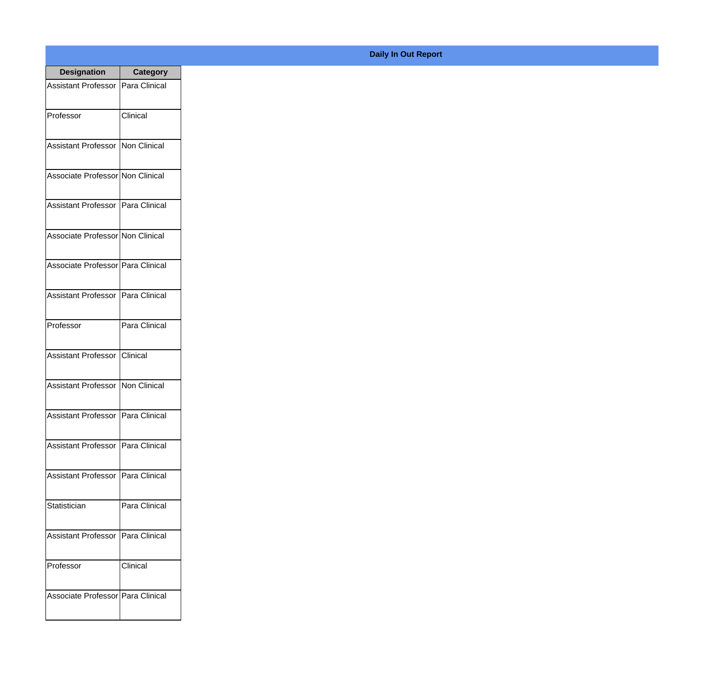| <b>Designation</b>                  | <b>Category</b>        |
|-------------------------------------|------------------------|
| Assistant Professor   Para Clinical |                        |
| Professor                           | Clinical               |
| Assistant Professor   Non Clinical  |                        |
| Associate Professor Non Clinical    |                        |
| Assistant Professor   Para Clinical |                        |
| Associate Professor Non Clinical    |                        |
| Associate Professor Para Clinical   |                        |
| Assistant Professor   Para Clinical |                        |
| Professor                           | Para Clinical          |
| <b>Assistant Professor</b>          | <i><b>Clinical</b></i> |
| Assistant Professor                 | Non Clinical           |
| Assistant Professor   Para Clinical |                        |
| Assistant Professor   Para Clinical |                        |
| <b>Assistant Professor</b>          | Para Clinical          |
| Statistician                        | Para Clinical          |
| <b>Assistant Professor</b>          | Para Clinical          |
| Professor                           | Clinical               |
| Associate Professor Para Clinical   |                        |

## **Daily In Out Report**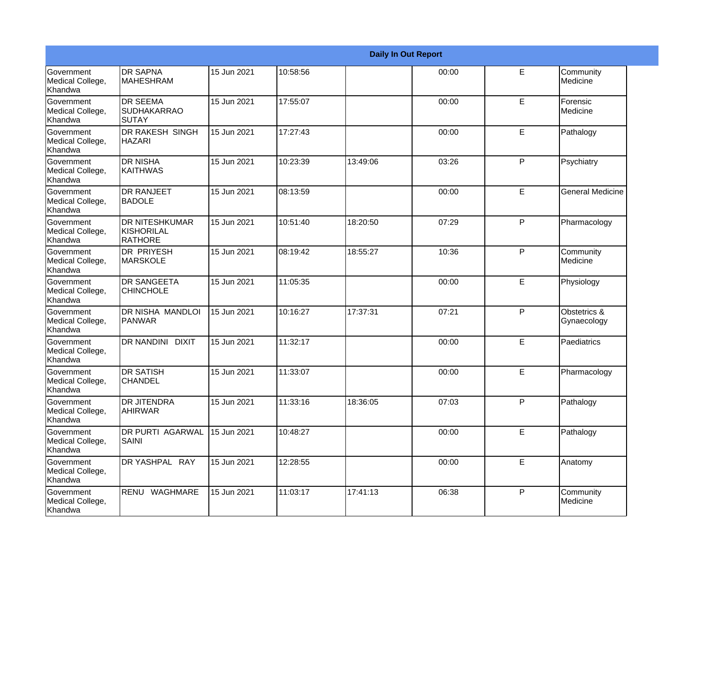|                                                  |                                                              |             |          |          | <b>Daily In Out Report</b> |             |                             |
|--------------------------------------------------|--------------------------------------------------------------|-------------|----------|----------|----------------------------|-------------|-----------------------------|
| <b>Government</b><br>Medical College,<br>Khandwa | <b>DR SAPNA</b><br><b>MAHESHRAM</b>                          | 15 Jun 2021 | 10:58:56 |          | 00:00                      | E           | Community<br>Medicine       |
| Government<br>Medical College,<br>Khandwa        | <b>DR SEEMA</b><br><b>SUDHAKARRAO</b><br>ISUTAY              | 15 Jun 2021 | 17:55:07 |          | 00:00                      | E           | Forensic<br>Medicine        |
| <b>Government</b><br>Medical College,<br>Khandwa | DR RAKESH SINGH<br><b>HAZARI</b>                             | 15 Jun 2021 | 17:27:43 |          | 00:00                      | E           | Pathalogy                   |
| Government<br>Medical College,<br>Khandwa        | <b>DR NISHA</b><br>KAITHWAS                                  | 15 Jun 2021 | 10:23:39 | 13:49:06 | 03:26                      | P           | Psychiatry                  |
| Government<br>Medical College,<br>Khandwa        | <b>DR RANJEET</b><br><b>BADOLE</b>                           | 15 Jun 2021 | 08:13:59 |          | 00:00                      | E           | <b>General Medicine</b>     |
| Government<br>Medical College,<br>Khandwa        | <b>DR NITESHKUMAR</b><br><b>KISHORILAL</b><br><b>RATHORE</b> | 15 Jun 2021 | 10:51:40 | 18:20:50 | 07:29                      | P           | Pharmacology                |
| Government<br>Medical College,<br>Khandwa        | DR PRIYESH<br><b>MARSKOLE</b>                                | 15 Jun 2021 | 08:19:42 | 18:55:27 | 10:36                      | P           | Community<br>Medicine       |
| Government<br>Medical College,<br>Khandwa        | <b>DR SANGEETA</b><br><b>CHINCHOLE</b>                       | 15 Jun 2021 | 11:05:35 |          | 00:00                      | E           | Physiology                  |
| Government<br>Medical College,<br>Khandwa        | <b>DR NISHA MANDLOI</b><br>PANWAR                            | 15 Jun 2021 | 10:16:27 | 17:37:31 | 07:21                      | P           | Obstetrics &<br>Gynaecology |
| Government<br>Medical College,<br>Khandwa        | DR NANDINI DIXIT                                             | 15 Jun 2021 | 11:32:17 |          | 00:00                      | E           | Paediatrics                 |
| Government<br>Medical College,<br>Khandwa        | <b>DR SATISH</b><br><b>CHANDEL</b>                           | 15 Jun 2021 | 11:33:07 |          | 00:00                      | E           | Pharmacology                |
| Government<br>Medical College,<br>Khandwa        | <b>DR JITENDRA</b><br><b>AHIRWAR</b>                         | 15 Jun 2021 | 11:33:16 | 18:36:05 | 07:03                      | P           | Pathalogy                   |
| Government<br>Medical College,<br>Khandwa        | <b>DR PURTI AGARWAL</b><br><b>SAINI</b>                      | 15 Jun 2021 | 10:48:27 |          | 00:00                      | $\mathsf E$ | Pathalogy                   |
| Government<br>Medical College,<br>Khandwa        | DR YASHPAL RAY                                               | 15 Jun 2021 | 12:28:55 |          | 00:00                      | $\mathsf E$ | Anatomy                     |
| Government<br>Medical College,<br>Khandwa        | RENU WAGHMARE                                                | 15 Jun 2021 | 11:03:17 | 17:41:13 | 06:38                      | P           | Community<br>Medicine       |